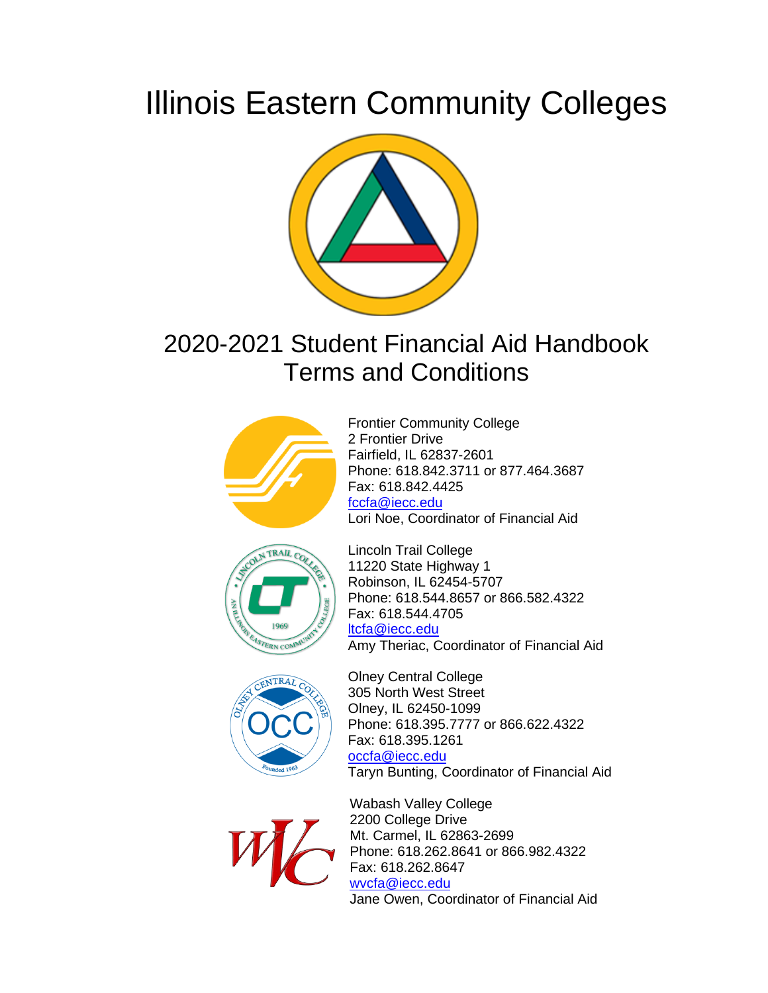# Illinois Eastern Community Colleges



# 2020-2021 Student Financial Aid Handbook Terms and Conditions



Frontier Community College 2 Frontier Drive Fairfield, IL 62837-2601 Phone: 618.842.3711 or 877.464.3687 Fax: 618.842.4425 [fccfa@iecc.edu](mailto:fccfa@iecc.edu) Lori Noe, Coordinator of Financial Aid





Lincoln Trail College 11220 State Highway 1 Robinson, IL 62454-5707 Phone: 618.544.8657 or 866.582.4322 Fax: 618.544.4705 [ltcfa@iecc.edu](mailto:ltcfa@iecc.edu) Amy Theriac, Coordinator of Financial Aid

Olney Central College 305 North West Street Olney, IL 62450-1099 Phone: 618.395.7777 or 866.622.4322 Fax: 618.395.1261 [occfa@iecc.edu](mailto:occfa@iecc.edu) Taryn Bunting, Coordinator of Financial Aid



Wabash Valley College 2200 College Drive Mt. Carmel, IL 62863-2699 Phone: 618.262.8641 or 866.982.4322 Fax: 618.262.8647 [wvcfa@iecc.edu](mailto:wvcfa@iecc.edu) Jane Owen, Coordinator of Financial Aid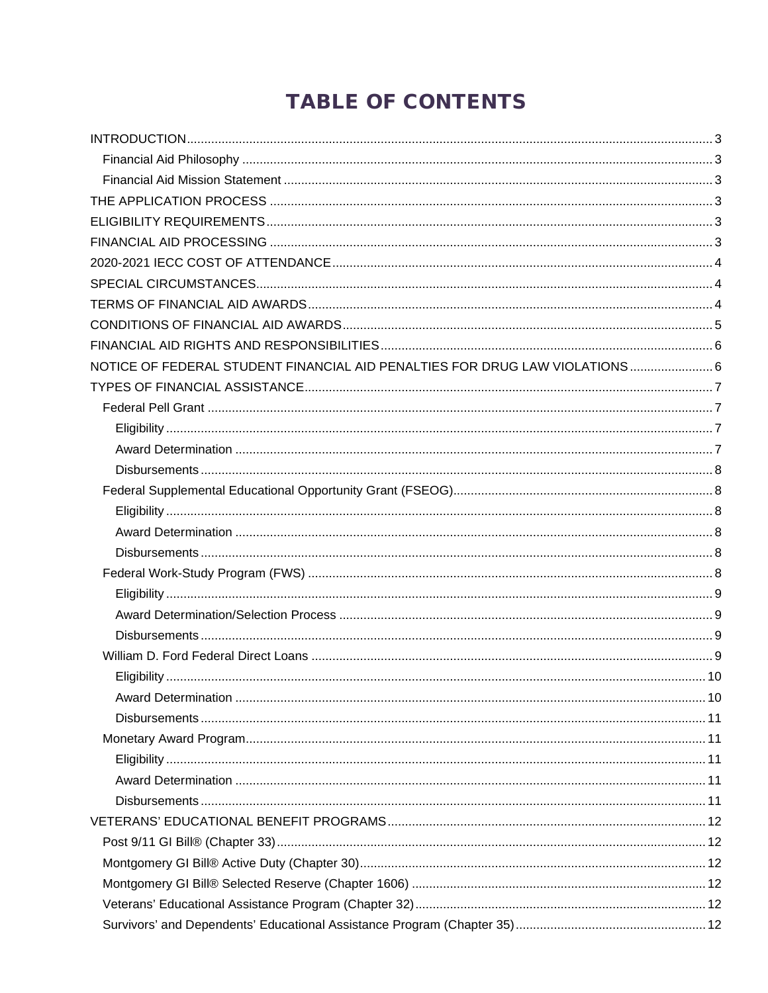# **TABLE OF CONTENTS**

| NOTICE OF FEDERAL STUDENT FINANCIAL AID PENALTIES FOR DRUG LAW VIOLATIONS 6 |  |
|-----------------------------------------------------------------------------|--|
|                                                                             |  |
|                                                                             |  |
|                                                                             |  |
|                                                                             |  |
|                                                                             |  |
|                                                                             |  |
|                                                                             |  |
|                                                                             |  |
|                                                                             |  |
|                                                                             |  |
|                                                                             |  |
|                                                                             |  |
|                                                                             |  |
|                                                                             |  |
|                                                                             |  |
|                                                                             |  |
|                                                                             |  |
|                                                                             |  |
|                                                                             |  |
|                                                                             |  |
|                                                                             |  |
|                                                                             |  |
|                                                                             |  |
|                                                                             |  |
|                                                                             |  |
|                                                                             |  |
|                                                                             |  |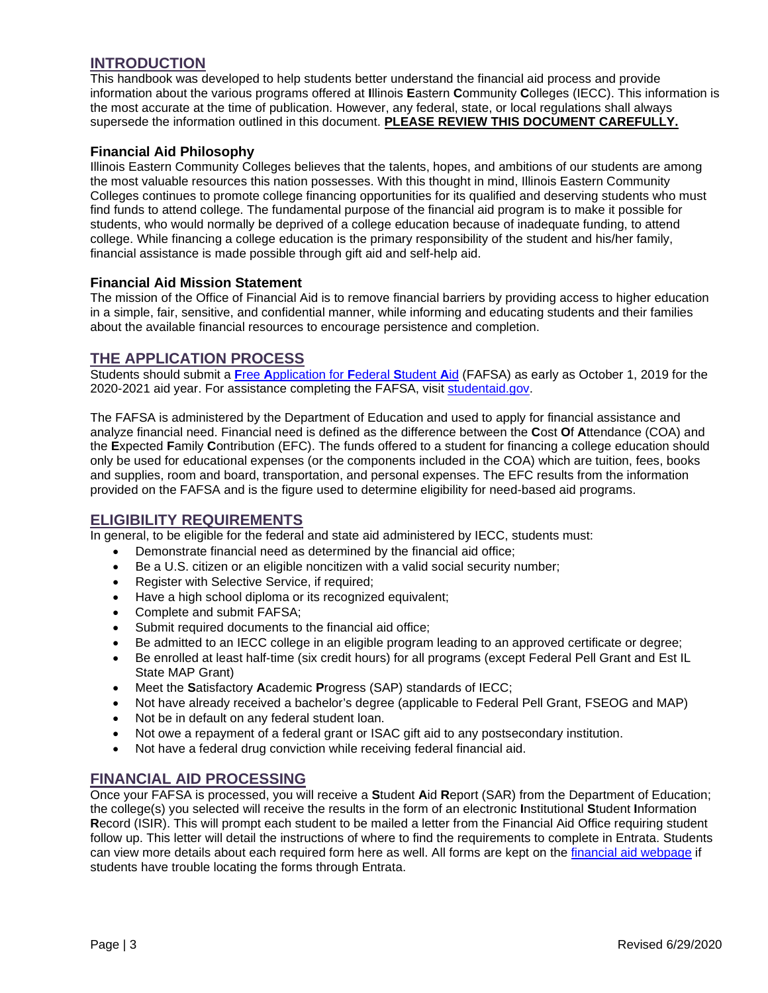# <span id="page-3-0"></span>**INTRODUCTION**

This handbook was developed to help students better understand the financial aid process and provide information about the various programs offered at **I**llinois **E**astern **C**ommunity **C**olleges (IECC). This information is the most accurate at the time of publication. However, any federal, state, or local regulations shall always supersede the information outlined in this document. **PLEASE REVIEW THIS DOCUMENT CAREFULLY.**

#### <span id="page-3-1"></span>**Financial Aid Philosophy**

Illinois Eastern Community Colleges believes that the talents, hopes, and ambitions of our students are among the most valuable resources this nation possesses. With this thought in mind, Illinois Eastern Community Colleges continues to promote college financing opportunities for its qualified and deserving students who must find funds to attend college. The fundamental purpose of the financial aid program is to make it possible for students, who would normally be deprived of a college education because of inadequate funding, to attend college. While financing a college education is the primary responsibility of the student and his/her family, financial assistance is made possible through gift aid and self-help aid.

#### <span id="page-3-2"></span>**Financial Aid Mission Statement**

The mission of the Office of Financial Aid is to remove financial barriers by providing access to higher education in a simple, fair, sensitive, and confidential manner, while informing and educating students and their families about the available financial resources to encourage persistence and completion.

#### <span id="page-3-3"></span>**THE APPLICATION PROCESS**

Students should submit a **F**ree **A**[pplication for](https://studentaid.ed.gov/sa/fafsa) **F**ederal **S**tudent **A**id (FAFSA) as early as October 1, 2019 for the 2020-2021 aid year. For assistance completing the FAFSA, visit [studentaid.gov.](https://studentaid.gov/apply-for-aid/fafsa/filling-out)

The FAFSA is administered by the Department of Education and used to apply for financial assistance and analyze financial need. Financial need is defined as the difference between the **C**ost **O**f **A**ttendance (COA) and the **E**xpected **F**amily **C**ontribution (EFC). The funds offered to a student for financing a college education should only be used for educational expenses (or the components included in the COA) which are tuition, fees, books and supplies, room and board, transportation, and personal expenses. The EFC results from the information provided on the FAFSA and is the figure used to determine eligibility for need-based aid programs.

#### <span id="page-3-4"></span>**ELIGIBILITY REQUIREMENTS**

In general, to be eligible for the federal and state aid administered by IECC, students must:

- Demonstrate financial need as determined by the financial aid office;
- Be a U.S. citizen or an eligible noncitizen with a valid social security number;
- Register with Selective Service, if required;
- Have a high school diploma or its recognized equivalent;
- Complete and submit FAFSA;
- Submit required documents to the financial aid office;
- Be admitted to an IECC college in an eligible program leading to an approved certificate or degree;
- Be enrolled at least half-time (six credit hours) for all programs (except Federal Pell Grant and Est IL State MAP Grant)
- Meet the **S**atisfactory **A**cademic **P**rogress (SAP) standards of IECC;
- Not have already received a bachelor's degree (applicable to Federal Pell Grant, FSEOG and MAP)
- Not be in default on any federal student loan.
- Not owe a repayment of a federal grant or ISAC gift aid to any postsecondary institution.
- Not have a federal drug conviction while receiving federal financial aid.

### <span id="page-3-5"></span>**FINANCIAL AID PROCESSING**

Once your FAFSA is processed, you will receive a **S**tudent **A**id **R**eport (SAR) from the Department of Education; the college(s) you selected will receive the results in the form of an electronic **I**nstitutional **S**tudent **I**nformation **R**ecord (ISIR). This will prompt each student to be mailed a letter from the Financial Aid Office requiring student follow up. This letter will detail the instructions of where to find the requirements to complete in Entrata. Students can view more details about each required form here as well. All forms are kept on the [financial aid webpage](https://www.iecc.edu/iecc/admissions-aid/financial-aid) if students have trouble locating the forms through Entrata.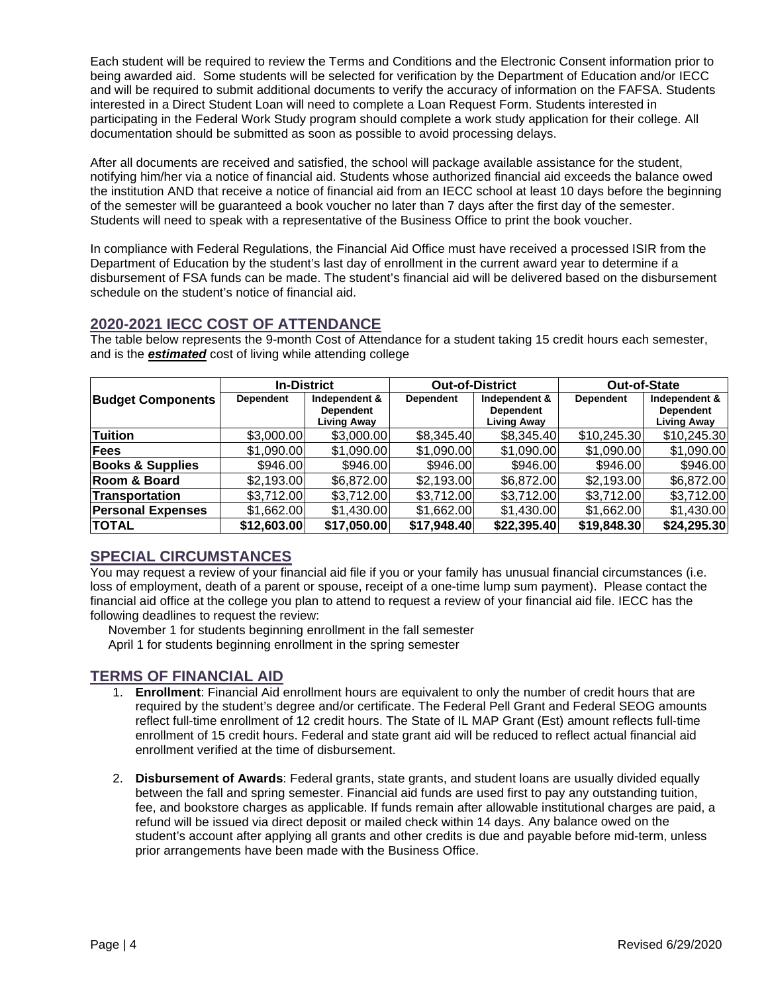Each student will be required to review the Terms and Conditions and the Electronic Consent information prior to being awarded aid. Some students will be selected for verification by the Department of Education and/or IECC and will be required to submit additional documents to verify the accuracy of information on the FAFSA. Students interested in a Direct Student Loan will need to complete a Loan Request Form. Students interested in participating in the Federal Work Study program should complete a work study application for their college. All documentation should be submitted as soon as possible to avoid processing delays.

After all documents are received and satisfied, the school will package available assistance for the student, notifying him/her via a notice of financial aid. Students whose authorized financial aid exceeds the balance owed the institution AND that receive a notice of financial aid from an IECC school at least 10 days before the beginning of the semester will be guaranteed a book voucher no later than 7 days after the first day of the semester. Students will need to speak with a representative of the Business Office to print the book voucher.

In compliance with Federal Regulations, the Financial Aid Office must have received a processed ISIR from the Department of Education by the student's last day of enrollment in the current award year to determine if a disbursement of FSA funds can be made. The student's financial aid will be delivered based on the disbursement schedule on the student's notice of financial aid.

# <span id="page-4-0"></span>**2020-2021 IECC COST OF ATTENDANCE**

|                             | <b>In-District</b> |                                   | <b>Out-of-District</b> |                                   | Out-of-State     |                                   |
|-----------------------------|--------------------|-----------------------------------|------------------------|-----------------------------------|------------------|-----------------------------------|
| <b>Budget Components</b>    | <b>Dependent</b>   | Independent &<br><b>Dependent</b> | <b>Dependent</b>       | Independent &<br><b>Dependent</b> | <b>Dependent</b> | Independent &<br><b>Dependent</b> |
|                             |                    | Living Away                       |                        | <b>Living Away</b>                |                  | <b>Living Away</b>                |
| Tuition                     | \$3,000.00         | \$3,000.00                        | \$8,345.40             | \$8,345.40                        | \$10,245.30      | \$10,245.30                       |
| <b>Fees</b>                 | \$1,090.00         | \$1,090.00                        | \$1,090.00             | \$1,090.00                        | \$1,090.00       | \$1,090.00                        |
| <b>Books &amp; Supplies</b> | \$946.00           | \$946.00                          | \$946.00               | \$946.00                          | \$946.00         | \$946.00                          |
| Room & Board                | \$2,193.00         | \$6,872.00                        | \$2,193.00             | \$6,872.00                        | \$2,193.00       | \$6,872.00                        |
| <b>Transportation</b>       | \$3,712.00         | \$3,712.00                        | \$3,712.00             | \$3,712.00                        | \$3,712.00       | \$3,712.00                        |
| <b>Personal Expenses</b>    | \$1,662.00         | \$1,430.00                        | \$1,662.00             | \$1,430.00                        | \$1,662.00       | \$1,430.00                        |
| <b>TOTAL</b>                | \$12,603.00        | \$17,050.00                       | \$17,948.40            | \$22,395.40                       | \$19,848.30      | \$24,295.30                       |

The table below represents the 9-month Cost of Attendance for a student taking 15 credit hours each semester, and is the *estimated* cost of living while attending college

# <span id="page-4-1"></span>**SPECIAL CIRCUMSTANCES**

You may request a review of your financial aid file if you or your family has unusual financial circumstances (i.e. loss of employment, death of a parent or spouse, receipt of a one-time lump sum payment). Please contact the financial aid office at the college you plan to attend to request a review of your financial aid file. IECC has the following deadlines to request the review:

November 1 for students beginning enrollment in the fall semester April 1 for students beginning enrollment in the spring semester

# <span id="page-4-2"></span>**TERMS OF FINANCIAL AID**

- 1. **Enrollment**: Financial Aid enrollment hours are equivalent to only the number of credit hours that are required by the student's degree and/or certificate. The Federal Pell Grant and Federal SEOG amounts reflect full-time enrollment of 12 credit hours. The State of IL MAP Grant (Est) amount reflects full-time enrollment of 15 credit hours. Federal and state grant aid will be reduced to reflect actual financial aid enrollment verified at the time of disbursement.
- 2. **Disbursement of Awards**: Federal grants, state grants, and student loans are usually divided equally between the fall and spring semester. Financial aid funds are used first to pay any outstanding tuition, fee, and bookstore charges as applicable. If funds remain after allowable institutional charges are paid, a refund will be issued via direct deposit or mailed check within 14 days. Any balance owed on the student's account after applying all grants and other credits is due and payable before mid-term, unless prior arrangements have been made with the Business Office.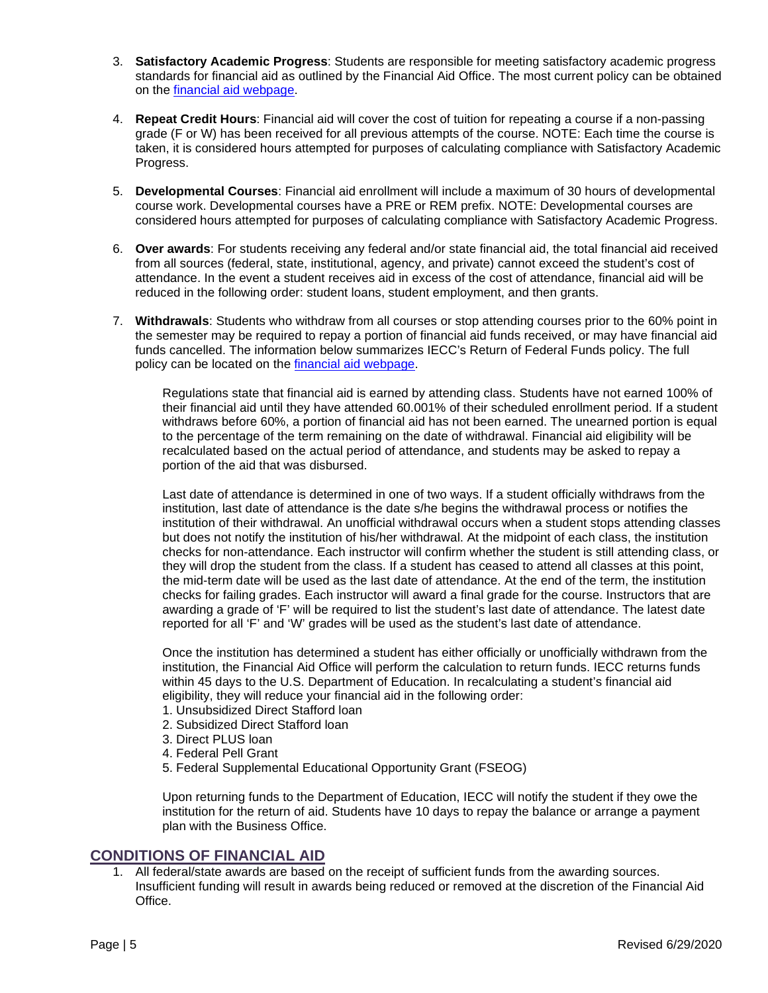- 3. **Satisfactory Academic Progress**: Students are responsible for meeting satisfactory academic progress standards for financial aid as outlined by the Financial Aid Office. The most current policy can be obtained on the [financial aid webpage.](https://www.iecc.edu/iecc/admissions-aid/financial-aid/office-information-and-policies/satisfactory-academic-progress)
- 4. **Repeat Credit Hours**: Financial aid will cover the cost of tuition for repeating a course if a non-passing grade (F or W) has been received for all previous attempts of the course. NOTE: Each time the course is taken, it is considered hours attempted for purposes of calculating compliance with Satisfactory Academic Progress.
- 5. **Developmental Courses**: Financial aid enrollment will include a maximum of 30 hours of developmental course work. Developmental courses have a PRE or REM prefix. NOTE: Developmental courses are considered hours attempted for purposes of calculating compliance with Satisfactory Academic Progress.
- 6. **Over awards**: For students receiving any federal and/or state financial aid, the total financial aid received from all sources (federal, state, institutional, agency, and private) cannot exceed the student's cost of attendance. In the event a student receives aid in excess of the cost of attendance, financial aid will be reduced in the following order: student loans, student employment, and then grants.
- 7. **Withdrawals**: Students who withdraw from all courses or stop attending courses prior to the 60% point in the semester may be required to repay a portion of financial aid funds received, or may have financial aid funds cancelled. The information below summarizes IECC's Return of Federal Funds policy. The full policy can be located on the [financial aid webpage.](https://www.iecc.edu/iecc/admissions-aid/financial-aid/office-information-and-policies/return-title-iv-funds-policy)

Regulations state that financial aid is earned by attending class. Students have not earned 100% of their financial aid until they have attended 60.001% of their scheduled enrollment period. If a student withdraws before 60%, a portion of financial aid has not been earned. The unearned portion is equal to the percentage of the term remaining on the date of withdrawal. Financial aid eligibility will be recalculated based on the actual period of attendance, and students may be asked to repay a portion of the aid that was disbursed.

Last date of attendance is determined in one of two ways. If a student officially withdraws from the institution, last date of attendance is the date s/he begins the withdrawal process or notifies the institution of their withdrawal. An unofficial withdrawal occurs when a student stops attending classes but does not notify the institution of his/her withdrawal. At the midpoint of each class, the institution checks for non-attendance. Each instructor will confirm whether the student is still attending class, or they will drop the student from the class. If a student has ceased to attend all classes at this point, the mid-term date will be used as the last date of attendance. At the end of the term, the institution checks for failing grades. Each instructor will award a final grade for the course. Instructors that are awarding a grade of 'F' will be required to list the student's last date of attendance. The latest date reported for all 'F' and 'W' grades will be used as the student's last date of attendance.

Once the institution has determined a student has either officially or unofficially withdrawn from the institution, the Financial Aid Office will perform the calculation to return funds. IECC returns funds within 45 days to the U.S. Department of Education. In recalculating a student's financial aid eligibility, they will reduce your financial aid in the following order:

- 1. Unsubsidized Direct Stafford loan
- 2. Subsidized Direct Stafford loan
- 3. Direct PLUS loan
- 4. Federal Pell Grant
- 5. Federal Supplemental Educational Opportunity Grant (FSEOG)

Upon returning funds to the Department of Education, IECC will notify the student if they owe the institution for the return of aid. Students have 10 days to repay the balance or arrange a payment plan with the Business Office.

#### <span id="page-5-0"></span>**CONDITIONS OF FINANCIAL AID**

1. All federal/state awards are based on the receipt of sufficient funds from the awarding sources. Insufficient funding will result in awards being reduced or removed at the discretion of the Financial Aid Office.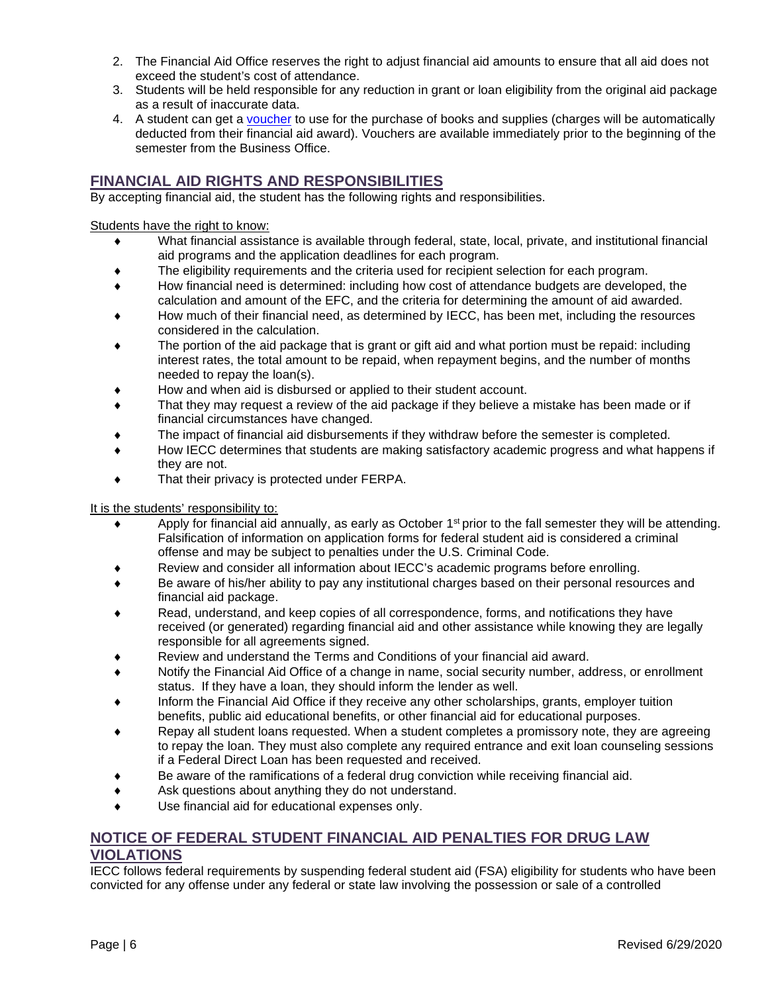- 2. The Financial Aid Office reserves the right to adjust financial aid amounts to ensure that all aid does not exceed the student's cost of attendance.
- 3. Students will be held responsible for any reduction in grant or loan eligibility from the original aid package as a result of inaccurate data.
- 4. A student can get a [voucher](https://www.iecc.edu/iecc/admissions-aid/financial-aid/student-information/bookstore-charges-student-account) to use for the purchase of books and supplies (charges will be automatically deducted from their financial aid award). Vouchers are available immediately prior to the beginning of the semester from the Business Office.

# <span id="page-6-0"></span>**FINANCIAL AID RIGHTS AND RESPONSIBILITIES**

By accepting financial aid, the student has the following rights and responsibilities.

Students have the right to know:

- What financial assistance is available through federal, state, local, private, and institutional financial aid programs and the application deadlines for each program.
- The eligibility requirements and the criteria used for recipient selection for each program.
- How financial need is determined: including how cost of attendance budgets are developed, the calculation and amount of the EFC, and the criteria for determining the amount of aid awarded.
- How much of their financial need, as determined by IECC, has been met, including the resources considered in the calculation.
- The portion of the aid package that is grant or gift aid and what portion must be repaid: including interest rates, the total amount to be repaid, when repayment begins, and the number of months needed to repay the loan(s).
- How and when aid is disbursed or applied to their student account.
- That they may request a review of the aid package if they believe a mistake has been made or if financial circumstances have changed.
- The impact of financial aid disbursements if they withdraw before the semester is completed.
- How IECC determines that students are making satisfactory academic progress and what happens if they are not.
- That their privacy is protected under FERPA.

#### It is the students' responsibility to:

- Apply for financial aid annually, as early as October 1<sup>st</sup> prior to the fall semester they will be attending. Falsification of information on application forms for federal student aid is considered a criminal offense and may be subject to penalties under the U.S. Criminal Code.
- Review and consider all information about IECC's academic programs before enrolling.
- ♦ Be aware of his/her ability to pay any institutional charges based on their personal resources and financial aid package.
- Read, understand, and keep copies of all correspondence, forms, and notifications they have received (or generated) regarding financial aid and other assistance while knowing they are legally responsible for all agreements signed.
- Review and understand the Terms and Conditions of your financial aid award.
- Notify the Financial Aid Office of a change in name, social security number, address, or enrollment status. If they have a loan, they should inform the lender as well.
- Inform the Financial Aid Office if they receive any other scholarships, grants, employer tuition benefits, public aid educational benefits, or other financial aid for educational purposes.
- Repay all student loans requested. When a student completes a promissory note, they are agreeing to repay the loan. They must also complete any required entrance and exit loan counseling sessions if a Federal Direct Loan has been requested and received.
- Be aware of the ramifications of a federal drug conviction while receiving financial aid.
- Ask questions about anything they do not understand.
- Use financial aid for educational expenses only.

#### <span id="page-6-1"></span>**NOTICE OF FEDERAL STUDENT FINANCIAL AID PENALTIES FOR DRUG LAW VIOLATIONS**

IECC follows federal requirements by suspending federal student aid (FSA) eligibility for students who have been convicted for any offense under any federal or state law involving the possession or sale of a controlled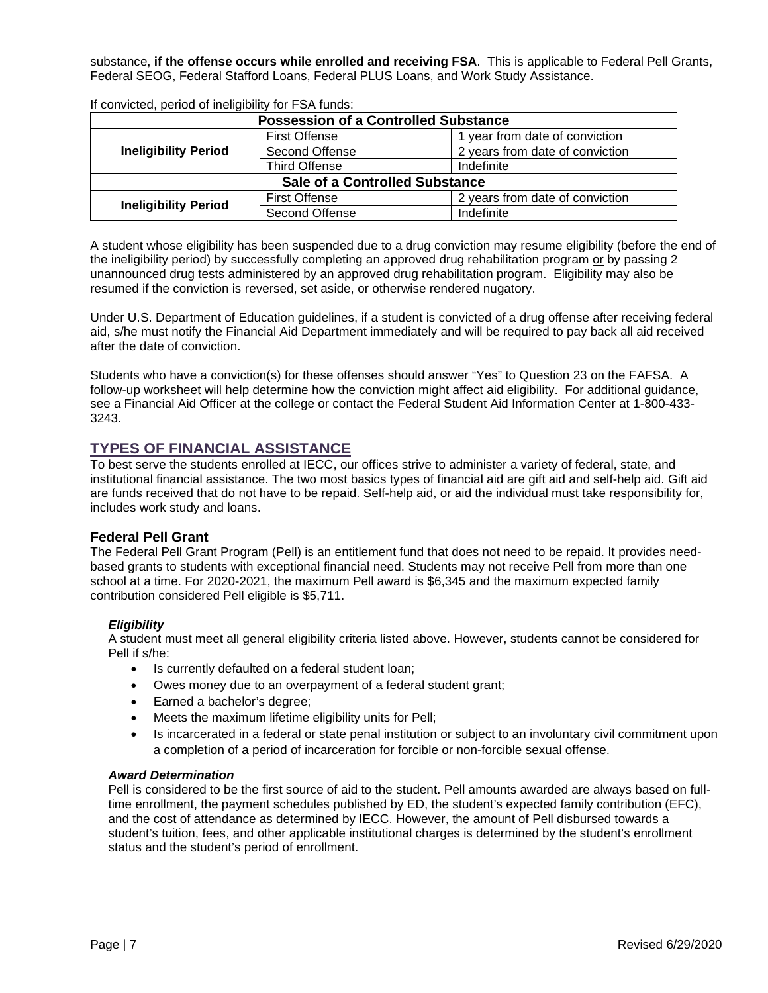substance, **if the offense occurs while enrolled and receiving FSA**. This is applicable to Federal Pell Grants, Federal SEOG, Federal Stafford Loans, Federal PLUS Loans, and Work Study Assistance.

| <b>Possession of a Controlled Substance</b> |                                    |                                 |  |  |  |  |
|---------------------------------------------|------------------------------------|---------------------------------|--|--|--|--|
| <b>Ineligibility Period</b>                 | <b>First Offense</b>               | year from date of conviction    |  |  |  |  |
|                                             | Second Offense                     | 2 years from date of conviction |  |  |  |  |
|                                             | <b>Third Offense</b><br>Indefinite |                                 |  |  |  |  |
| <b>Sale of a Controlled Substance</b>       |                                    |                                 |  |  |  |  |
| <b>Ineligibility Period</b>                 | <b>First Offense</b>               | 2 years from date of conviction |  |  |  |  |
|                                             | Second Offense                     | Indefinite                      |  |  |  |  |

If convicted, period of ineligibility for FSA funds:

A student whose eligibility has been suspended due to a drug conviction may resume eligibility (before the end of the ineligibility period) by successfully completing an approved drug rehabilitation program or by passing 2 unannounced drug tests administered by an approved drug rehabilitation program. Eligibility may also be resumed if the conviction is reversed, set aside, or otherwise rendered nugatory.

Under U.S. Department of Education guidelines, if a student is convicted of a drug offense after receiving federal aid, s/he must notify the Financial Aid Department immediately and will be required to pay back all aid received after the date of conviction.

Students who have a conviction(s) for these offenses should answer "Yes" to Question 23 on the FAFSA. A follow-up worksheet will help determine how the conviction might affect aid eligibility. For additional guidance, see a Financial Aid Officer at the college or contact the Federal Student Aid Information Center at 1-800-433- 3243.

## <span id="page-7-0"></span>**TYPES OF FINANCIAL ASSISTANCE**

To best serve the students enrolled at IECC, our offices strive to administer a variety of federal, state, and institutional financial assistance. The two most basics types of financial aid are gift aid and self-help aid. Gift aid are funds received that do not have to be repaid. Self-help aid, or aid the individual must take responsibility for, includes work study and loans.

#### <span id="page-7-1"></span>**Federal Pell Grant**

The Federal Pell Grant Program (Pell) is an entitlement fund that does not need to be repaid. It provides needbased grants to students with exceptional financial need. Students may not receive Pell from more than one school at a time. For 2020-2021, the maximum Pell award is \$6,345 and the maximum expected family contribution considered Pell eligible is \$5,711.

#### <span id="page-7-2"></span>*Eligibility*

A student must meet all general eligibility criteria listed above. However, students cannot be considered for Pell if s/he:

- Is currently defaulted on a federal student loan;
- Owes money due to an overpayment of a federal student grant;
- Earned a bachelor's degree;
- Meets the maximum lifetime eligibility units for Pell;
- Is incarcerated in a federal or state penal institution or subject to an involuntary civil commitment upon a completion of a period of incarceration for forcible or non-forcible sexual offense.

#### <span id="page-7-3"></span>*Award Determination*

Pell is considered to be the first source of aid to the student. Pell amounts awarded are always based on fulltime enrollment, the payment schedules published by ED, the student's expected family contribution (EFC), and the cost of attendance as determined by IECC. However, the amount of Pell disbursed towards a student's tuition, fees, and other applicable institutional charges is determined by the student's enrollment status and the student's period of enrollment.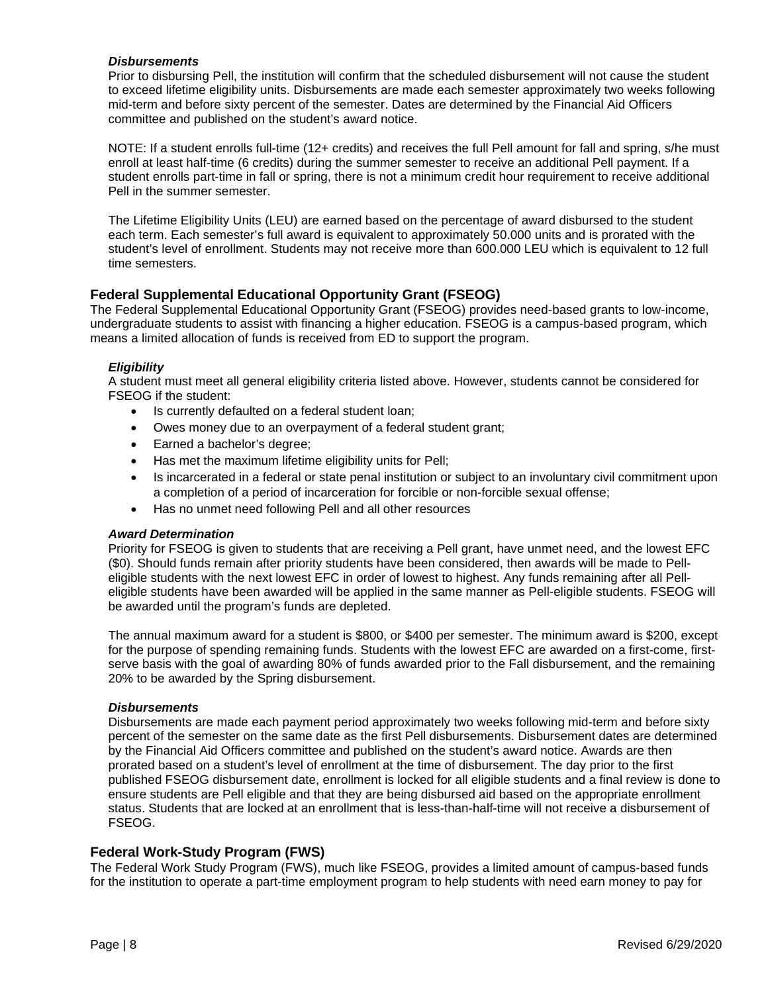#### <span id="page-8-0"></span>*Disbursements*

Prior to disbursing Pell, the institution will confirm that the scheduled disbursement will not cause the student to exceed lifetime eligibility units. Disbursements are made each semester approximately two weeks following mid-term and before sixty percent of the semester. Dates are determined by the Financial Aid Officers committee and published on the student's award notice.

NOTE: If a student enrolls full-time (12+ credits) and receives the full Pell amount for fall and spring, s/he must enroll at least half-time (6 credits) during the summer semester to receive an additional Pell payment. If a student enrolls part-time in fall or spring, there is not a minimum credit hour requirement to receive additional Pell in the summer semester.

The Lifetime Eligibility Units (LEU) are earned based on the percentage of award disbursed to the student each term. Each semester's full award is equivalent to approximately 50.000 units and is prorated with the student's level of enrollment. Students may not receive more than 600.000 LEU which is equivalent to 12 full time semesters.

#### <span id="page-8-1"></span>**Federal Supplemental Educational Opportunity Grant (FSEOG)**

The Federal Supplemental Educational Opportunity Grant (FSEOG) provides need-based grants to low-income, undergraduate students to assist with financing a higher education. FSEOG is a campus-based program, which means a limited allocation of funds is received from ED to support the program.

#### <span id="page-8-2"></span>*Eligibility*

A student must meet all general eligibility criteria listed above. However, students cannot be considered for FSEOG if the student:

- Is currently defaulted on a federal student loan;
- Owes money due to an overpayment of a federal student grant;
- Earned a bachelor's degree;
- Has met the maximum lifetime eligibility units for Pell;
- Is incarcerated in a federal or state penal institution or subject to an involuntary civil commitment upon a completion of a period of incarceration for forcible or non-forcible sexual offense;
- Has no unmet need following Pell and all other resources

#### <span id="page-8-3"></span>*Award Determination*

Priority for FSEOG is given to students that are receiving a Pell grant, have unmet need, and the lowest EFC (\$0). Should funds remain after priority students have been considered, then awards will be made to Pelleligible students with the next lowest EFC in order of lowest to highest. Any funds remaining after all Pelleligible students have been awarded will be applied in the same manner as Pell-eligible students. FSEOG will be awarded until the program's funds are depleted.

The annual maximum award for a student is \$800, or \$400 per semester. The minimum award is \$200, except for the purpose of spending remaining funds. Students with the lowest EFC are awarded on a first-come, firstserve basis with the goal of awarding 80% of funds awarded prior to the Fall disbursement, and the remaining 20% to be awarded by the Spring disbursement.

#### <span id="page-8-4"></span>*Disbursements*

Disbursements are made each payment period approximately two weeks following mid-term and before sixty percent of the semester on the same date as the first Pell disbursements. Disbursement dates are determined by the Financial Aid Officers committee and published on the student's award notice. Awards are then prorated based on a student's level of enrollment at the time of disbursement. The day prior to the first published FSEOG disbursement date, enrollment is locked for all eligible students and a final review is done to ensure students are Pell eligible and that they are being disbursed aid based on the appropriate enrollment status. Students that are locked at an enrollment that is less-than-half-time will not receive a disbursement of FSEOG.

#### <span id="page-8-5"></span>**Federal Work-Study Program (FWS)**

The Federal Work Study Program (FWS), much like FSEOG, provides a limited amount of campus-based funds for the institution to operate a part-time employment program to help students with need earn money to pay for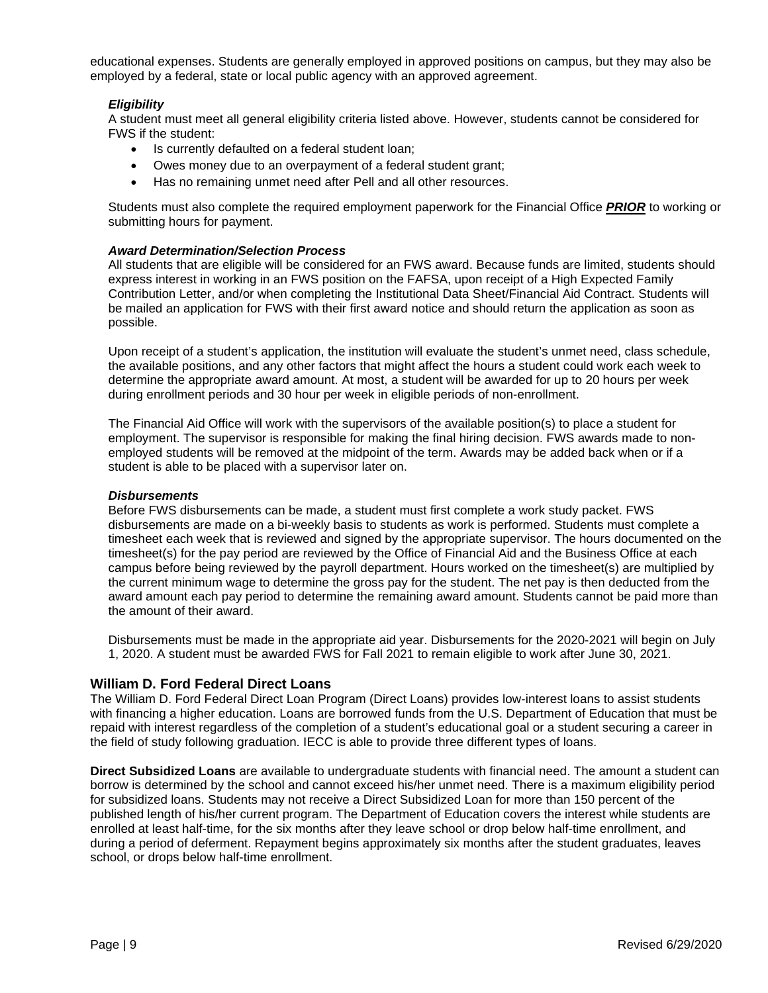educational expenses. Students are generally employed in approved positions on campus, but they may also be employed by a federal, state or local public agency with an approved agreement.

#### <span id="page-9-0"></span>*Eligibility*

A student must meet all general eligibility criteria listed above. However, students cannot be considered for FWS if the student:

- Is currently defaulted on a federal student loan;
- Owes money due to an overpayment of a federal student grant;
- Has no remaining unmet need after Pell and all other resources.

Students must also complete the required employment paperwork for the Financial Office *PRIOR* to working or submitting hours for payment.

#### <span id="page-9-1"></span>*Award Determination/Selection Process*

All students that are eligible will be considered for an FWS award. Because funds are limited, students should express interest in working in an FWS position on the FAFSA, upon receipt of a High Expected Family Contribution Letter, and/or when completing the Institutional Data Sheet/Financial Aid Contract. Students will be mailed an application for FWS with their first award notice and should return the application as soon as possible.

Upon receipt of a student's application, the institution will evaluate the student's unmet need, class schedule, the available positions, and any other factors that might affect the hours a student could work each week to determine the appropriate award amount. At most, a student will be awarded for up to 20 hours per week during enrollment periods and 30 hour per week in eligible periods of non-enrollment.

The Financial Aid Office will work with the supervisors of the available position(s) to place a student for employment. The supervisor is responsible for making the final hiring decision. FWS awards made to nonemployed students will be removed at the midpoint of the term. Awards may be added back when or if a student is able to be placed with a supervisor later on.

#### <span id="page-9-2"></span>*Disbursements*

Before FWS disbursements can be made, a student must first complete a work study packet. FWS disbursements are made on a bi-weekly basis to students as work is performed. Students must complete a timesheet each week that is reviewed and signed by the appropriate supervisor. The hours documented on the timesheet(s) for the pay period are reviewed by the Office of Financial Aid and the Business Office at each campus before being reviewed by the payroll department. Hours worked on the timesheet(s) are multiplied by the current minimum wage to determine the gross pay for the student. The net pay is then deducted from the award amount each pay period to determine the remaining award amount. Students cannot be paid more than the amount of their award.

Disbursements must be made in the appropriate aid year. Disbursements for the 2020-2021 will begin on July 1, 2020. A student must be awarded FWS for Fall 2021 to remain eligible to work after June 30, 2021.

#### <span id="page-9-3"></span>**William D. Ford Federal Direct Loans**

The William D. Ford Federal Direct Loan Program (Direct Loans) provides low-interest loans to assist students with financing a higher education. Loans are borrowed funds from the U.S. Department of Education that must be repaid with interest regardless of the completion of a student's educational goal or a student securing a career in the field of study following graduation. IECC is able to provide three different types of loans.

**Direct Subsidized Loans** are available to undergraduate students with financial need. The amount a student can borrow is determined by the school and cannot exceed his/her unmet need. There is a maximum eligibility period for subsidized loans. Students may not receive a Direct Subsidized Loan for more than 150 percent of the published length of his/her current program. The Department of Education covers the interest while students are enrolled at least half-time, for the six months after they leave school or drop below half-time enrollment, and during a period of deferment. Repayment begins approximately six months after the student graduates, leaves school, or drops below half-time enrollment.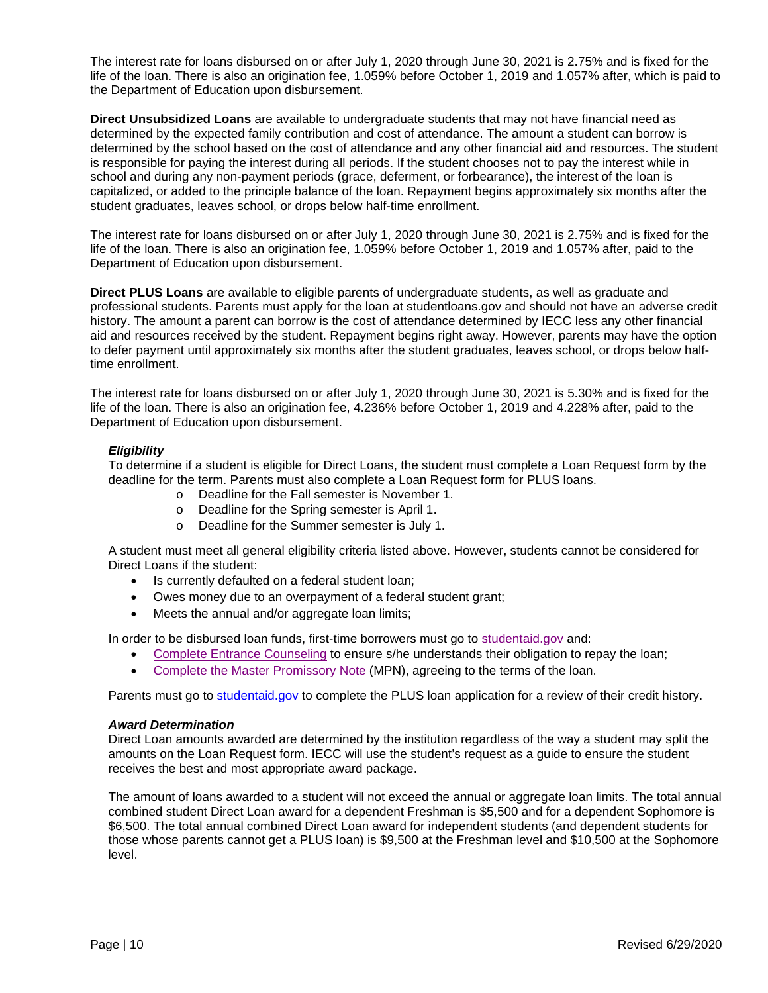The interest rate for loans disbursed on or after July 1, 2020 through June 30, 2021 is 2.75% and is fixed for the life of the loan. There is also an origination fee, 1.059% before October 1, 2019 and 1.057% after, which is paid to the Department of Education upon disbursement.

**Direct Unsubsidized Loans** are available to undergraduate students that may not have financial need as determined by the expected family contribution and cost of attendance. The amount a student can borrow is determined by the school based on the cost of attendance and any other financial aid and resources. The student is responsible for paying the interest during all periods. If the student chooses not to pay the interest while in school and during any non-payment periods (grace, deferment, or forbearance), the interest of the loan is capitalized, or added to the principle balance of the loan. Repayment begins approximately six months after the student graduates, leaves school, or drops below half-time enrollment.

The interest rate for loans disbursed on or after July 1, 2020 through June 30, 2021 is 2.75% and is fixed for the life of the loan. There is also an origination fee, 1.059% before October 1, 2019 and 1.057% after, paid to the Department of Education upon disbursement.

**Direct PLUS Loans** are available to eligible parents of undergraduate students, as well as graduate and professional students. Parents must apply for the loan at studentloans.gov and should not have an adverse credit history. The amount a parent can borrow is the cost of attendance determined by IECC less any other financial aid and resources received by the student. Repayment begins right away. However, parents may have the option to defer payment until approximately six months after the student graduates, leaves school, or drops below halftime enrollment.

The interest rate for loans disbursed on or after July 1, 2020 through June 30, 2021 is 5.30% and is fixed for the life of the loan. There is also an origination fee, 4.236% before October 1, 2019 and 4.228% after, paid to the Department of Education upon disbursement.

#### <span id="page-10-0"></span>*Eligibility*

To determine if a student is eligible for Direct Loans, the student must complete a Loan Request form by the deadline for the term. Parents must also complete a Loan Request form for PLUS loans.

- o Deadline for the Fall semester is November 1.
- o Deadline for the Spring semester is April 1.
- o Deadline for the Summer semester is July 1.

A student must meet all general eligibility criteria listed above. However, students cannot be considered for Direct Loans if the student:

- Is currently defaulted on a federal student loan;
- Owes money due to an overpayment of a federal student grant;
- Meets the annual and/or aggregate loan limits;

In order to be disbursed loan funds, first-time borrowers must go to [studentaid.gov](https://studentaid.gov/) and:

- [Complete Entrance Counseling](https://studentaid.gov/app/counselingInstructions.action?counselingType=entrance) to ensure s/he understands their obligation to repay the loan;
- Complete [the Master Promissory Note](https://studentaid.gov/app/launchMpn.action?mpnType=subUnsubMpn) (MPN), agreeing to the terms of the loan.

Parents must go to [studentaid.gov](https://studentaid.gov/app/launchPLUS.action) to complete the PLUS loan application for a review of their credit history.

#### <span id="page-10-1"></span>*Award Determination*

Direct Loan amounts awarded are determined by the institution regardless of the way a student may split the amounts on the Loan Request form. IECC will use the student's request as a guide to ensure the student receives the best and most appropriate award package.

The amount of loans awarded to a student will not exceed the annual or aggregate loan limits. The total annual combined student Direct Loan award for a dependent Freshman is \$5,500 and for a dependent Sophomore is \$6,500. The total annual combined Direct Loan award for independent students (and dependent students for those whose parents cannot get a PLUS loan) is \$9,500 at the Freshman level and \$10,500 at the Sophomore level.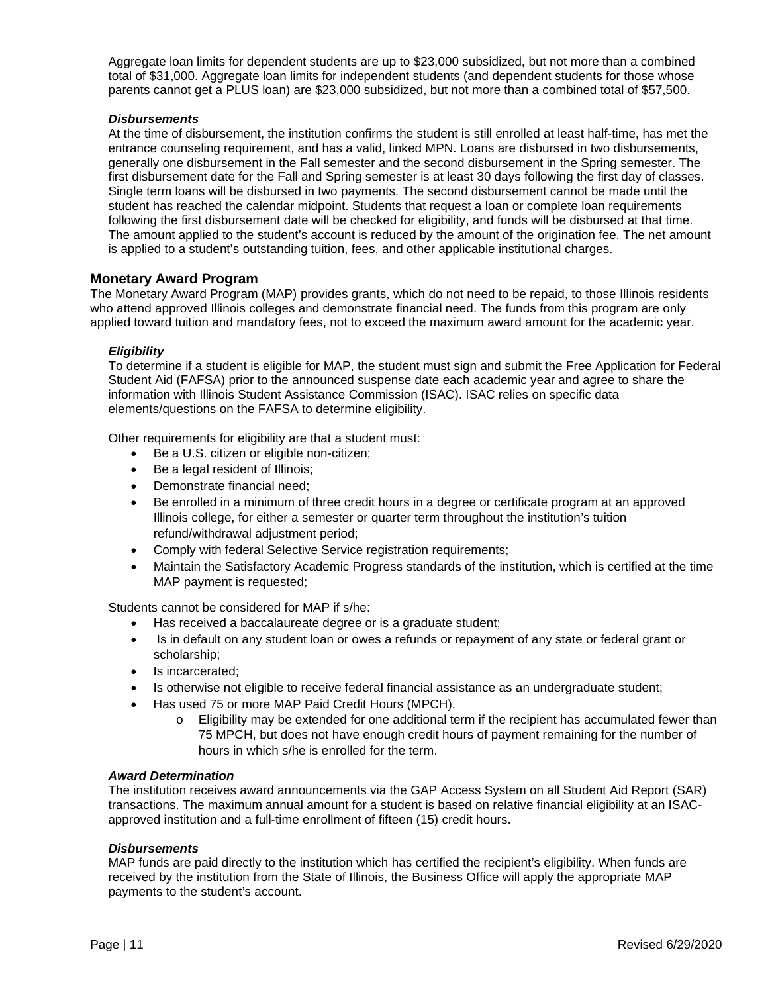Aggregate loan limits for dependent students are up to \$23,000 subsidized, but not more than a combined total of \$31,000. Aggregate loan limits for independent students (and dependent students for those whose parents cannot get a PLUS loan) are \$23,000 subsidized, but not more than a combined total of \$57,500.

#### <span id="page-11-0"></span>*Disbursements*

At the time of disbursement, the institution confirms the student is still enrolled at least half-time, has met the entrance counseling requirement, and has a valid, linked MPN. Loans are disbursed in two disbursements, generally one disbursement in the Fall semester and the second disbursement in the Spring semester. The first disbursement date for the Fall and Spring semester is at least 30 days following the first day of classes. Single term loans will be disbursed in two payments. The second disbursement cannot be made until the student has reached the calendar midpoint. Students that request a loan or complete loan requirements following the first disbursement date will be checked for eligibility, and funds will be disbursed at that time. The amount applied to the student's account is reduced by the amount of the origination fee. The net amount is applied to a student's outstanding tuition, fees, and other applicable institutional charges.

#### <span id="page-11-1"></span>**Monetary Award Program**

The Monetary Award Program (MAP) provides grants, which do not need to be repaid, to those Illinois residents who attend approved Illinois colleges and demonstrate financial need. The funds from this program are only applied toward tuition and mandatory fees, not to exceed the maximum award amount for the academic year.

#### <span id="page-11-2"></span>*Eligibility*

To determine if a student is eligible for MAP, the student must sign and submit the Free Application for Federal Student Aid (FAFSA) prior to the announced suspense date each academic year and agree to share the information with Illinois Student Assistance Commission (ISAC). ISAC relies on specific data elements/questions on the FAFSA to determine eligibility.

Other requirements for eligibility are that a student must:

- Be a U.S. citizen or eligible non-citizen;
- Be a legal resident of Illinois;
- Demonstrate financial need;
- Be enrolled in a minimum of three credit hours in a degree or certificate program at an approved Illinois college, for either a semester or quarter term throughout the institution's tuition refund/withdrawal adjustment period;
- Comply with federal Selective Service registration requirements;
- Maintain the Satisfactory Academic Progress standards of the institution, which is certified at the time MAP payment is requested;

Students cannot be considered for MAP if s/he:

- Has received a baccalaureate degree or is a graduate student;
- Is in default on any student loan or owes a refunds or repayment of any state or federal grant or scholarship;
- Is incarcerated;
- Is otherwise not eligible to receive federal financial assistance as an undergraduate student;
- Has used 75 or more MAP Paid Credit Hours (MPCH).
	- $\circ$  Eligibility may be extended for one additional term if the recipient has accumulated fewer than 75 MPCH, but does not have enough credit hours of payment remaining for the number of hours in which s/he is enrolled for the term.

#### <span id="page-11-3"></span>*Award Determination*

The institution receives award announcements via the GAP Access System on all Student Aid Report (SAR) transactions. The maximum annual amount for a student is based on relative financial eligibility at an ISACapproved institution and a full-time enrollment of fifteen (15) credit hours.

#### <span id="page-11-4"></span>*Disbursements*

MAP funds are paid directly to the institution which has certified the recipient's eligibility. When funds are received by the institution from the State of Illinois, the Business Office will apply the appropriate MAP payments to the student's account.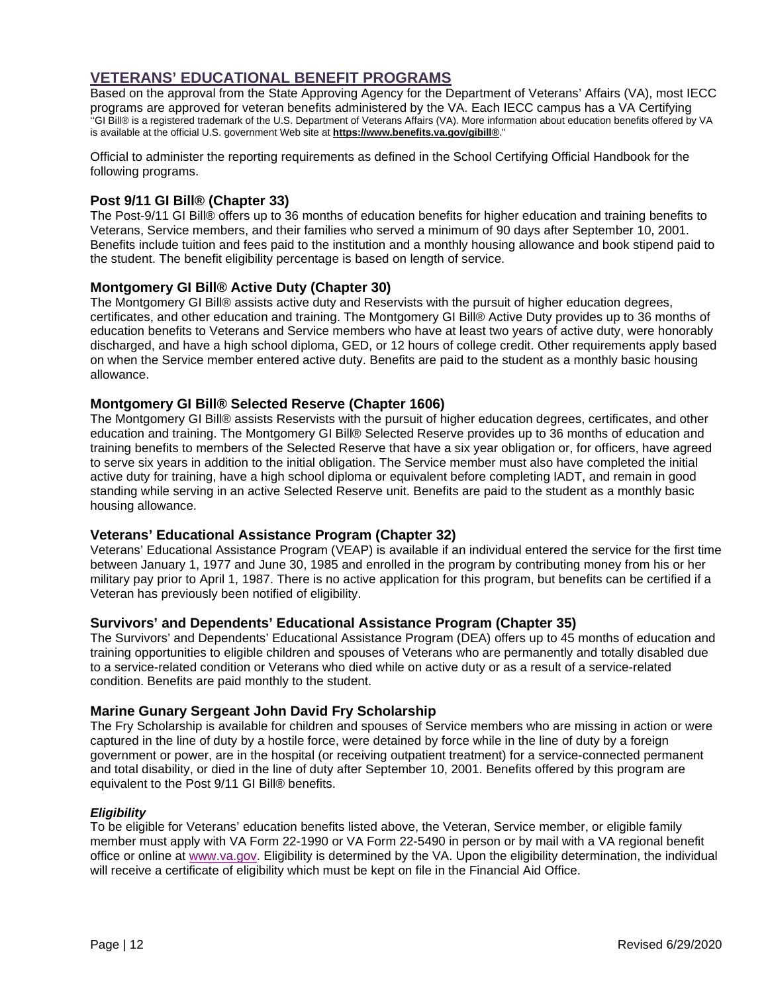# <span id="page-12-0"></span>**VETERANS' EDUCATIONAL BENEFIT PROGRAMS**

Based on the approval from the State Approving Agency for the Department of Veterans' Affairs (VA), most IECC programs are approved for veteran benefits administered by the VA. Each IECC campus has a VA Certifying ''GI Bill® is a registered trademark of the U.S. Department of Veterans Affairs (VA). More information about education benefits offered by VA is available at the official U.S. government Web site at **[https://www.benefits.va.gov/gibill®](https://benefits.va.gov/gibill/index.asp)**."

Official to administer the reporting requirements as defined in the School Certifying Official Handbook for the following programs.

#### <span id="page-12-1"></span>**Post 9/11 GI Bill® (Chapter 33)**

The Post-9/11 GI Bill® offers up to 36 months of education benefits for higher education and training benefits to Veterans, Service members, and their families who served a minimum of 90 days after September 10, 2001. Benefits include tuition and fees paid to the institution and a monthly housing allowance and book stipend paid to the student. The benefit eligibility percentage is based on length of service.

#### <span id="page-12-2"></span>**Montgomery GI Bill® Active Duty (Chapter 30)**

The Montgomery GI Bill® assists active duty and Reservists with the pursuit of higher education degrees, certificates, and other education and training. The Montgomery GI Bill® Active Duty provides up to 36 months of education benefits to Veterans and Service members who have at least two years of active duty, were honorably discharged, and have a high school diploma, GED, or 12 hours of college credit. Other requirements apply based on when the Service member entered active duty. Benefits are paid to the student as a monthly basic housing allowance.

#### <span id="page-12-3"></span>**Montgomery GI Bill® Selected Reserve (Chapter 1606)**

The Montgomery GI Bill® assists Reservists with the pursuit of higher education degrees, certificates, and other education and training. The Montgomery GI Bill® Selected Reserve provides up to 36 months of education and training benefits to members of the Selected Reserve that have a six year obligation or, for officers, have agreed to serve six years in addition to the initial obligation. The Service member must also have completed the initial active duty for training, have a high school diploma or equivalent before completing IADT, and remain in good standing while serving in an active Selected Reserve unit. Benefits are paid to the student as a monthly basic housing allowance.

#### <span id="page-12-4"></span>**Veterans' Educational Assistance Program (Chapter 32)**

Veterans' Educational Assistance Program (VEAP) is available if an individual entered the service for the first time between January 1, 1977 and June 30, 1985 and enrolled in the program by contributing money from his or her military pay prior to April 1, 1987. There is no active application for this program, but benefits can be certified if a Veteran has previously been notified of eligibility.

#### <span id="page-12-5"></span>**Survivors' and Dependents' Educational Assistance Program (Chapter 35)**

The Survivors' and Dependents' Educational Assistance Program (DEA) offers up to 45 months of education and training opportunities to eligible children and spouses of Veterans who are permanently and totally disabled due to a service-related condition or Veterans who died while on active duty or as a result of a service-related condition. Benefits are paid monthly to the student.

#### <span id="page-12-6"></span>**Marine Gunary Sergeant John David Fry Scholarship**

The Fry Scholarship is available for children and spouses of Service members who are missing in action or were captured in the line of duty by a hostile force, were detained by force while in the line of duty by a foreign government or power, are in the hospital (or receiving outpatient treatment) for a service-connected permanent and total disability, or died in the line of duty after September 10, 2001. Benefits offered by this program are equivalent to the Post 9/11 GI Bill® benefits.

#### <span id="page-12-7"></span>*Eligibility*

To be eligible for Veterans' education benefits listed above, the Veteran, Service member, or eligible family member must apply with VA Form 22-1990 or VA Form 22-5490 in person or by mail with a VA regional benefit office or online at [www.va.gov.](https://www.va.gov/education/how-to-apply/) Eligibility is determined by the VA. Upon the eligibility determination, the individual will receive a certificate of eligibility which must be kept on file in the Financial Aid Office.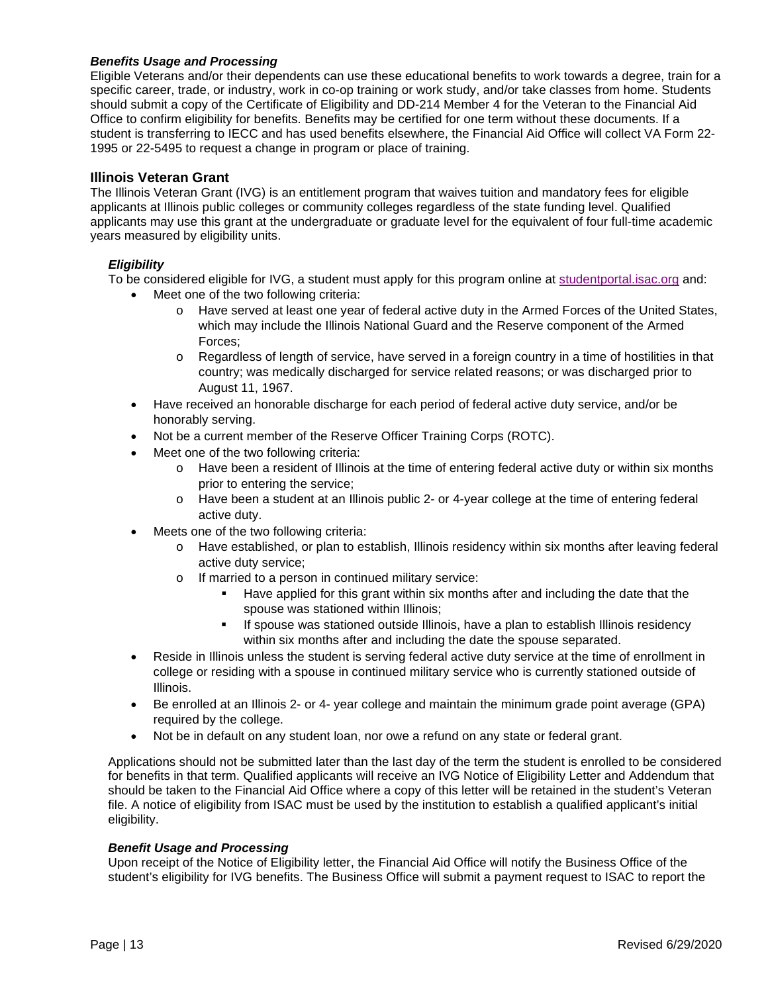#### <span id="page-13-0"></span>*Benefits Usage and Processing*

Eligible Veterans and/or their dependents can use these educational benefits to work towards a degree, train for a specific career, trade, or industry, work in co-op training or work study, and/or take classes from home. Students should submit a copy of the Certificate of Eligibility and DD-214 Member 4 for the Veteran to the Financial Aid Office to confirm eligibility for benefits. Benefits may be certified for one term without these documents. If a student is transferring to IECC and has used benefits elsewhere, the Financial Aid Office will collect VA Form 22- 1995 or 22-5495 to request a change in program or place of training.

#### <span id="page-13-1"></span>**Illinois Veteran Grant**

The Illinois Veteran Grant (IVG) is an entitlement program that waives tuition and mandatory fees for eligible applicants at Illinois public colleges or community colleges regardless of the state funding level. Qualified applicants may use this grant at the undergraduate or graduate level for the equivalent of four full-time academic years measured by eligibility units.

#### <span id="page-13-2"></span>*Eligibility*

To be considered eligible for IVG, a student must apply for this program online at [studentportal.isac.org](https://studentportal.isac.org/web/guest/student/) and:

- Meet one of the two following criteria:
	- o Have served at least one year of federal active duty in the Armed Forces of the United States, which may include the Illinois National Guard and the Reserve component of the Armed Forces;
	- $\circ$  Regardless of length of service, have served in a foreign country in a time of hostilities in that country; was medically discharged for service related reasons; or was discharged prior to August 11, 1967.
- Have received an honorable discharge for each period of federal active duty service, and/or be honorably serving.
- Not be a current member of the Reserve Officer Training Corps (ROTC).
- Meet one of the two following criteria:
	- o Have been a resident of Illinois at the time of entering federal active duty or within six months prior to entering the service;
	- o Have been a student at an Illinois public 2- or 4-year college at the time of entering federal active duty.
- Meets one of the two following criteria:
	- o Have established, or plan to establish, Illinois residency within six months after leaving federal active duty service;
	- o If married to a person in continued military service:
		- Have applied for this grant within six months after and including the date that the spouse was stationed within Illinois;
		- If spouse was stationed outside Illinois, have a plan to establish Illinois residency within six months after and including the date the spouse separated.
- Reside in Illinois unless the student is serving federal active duty service at the time of enrollment in college or residing with a spouse in continued military service who is currently stationed outside of Illinois.
- Be enrolled at an Illinois 2- or 4- year college and maintain the minimum grade point average (GPA) required by the college.
- Not be in default on any student loan, nor owe a refund on any state or federal grant.

Applications should not be submitted later than the last day of the term the student is enrolled to be considered for benefits in that term. Qualified applicants will receive an IVG Notice of Eligibility Letter and Addendum that should be taken to the Financial Aid Office where a copy of this letter will be retained in the student's Veteran file. A notice of eligibility from ISAC must be used by the institution to establish a qualified applicant's initial eligibility.

#### <span id="page-13-3"></span>*Benefit Usage and Processing*

Upon receipt of the Notice of Eligibility letter, the Financial Aid Office will notify the Business Office of the student's eligibility for IVG benefits. The Business Office will submit a payment request to ISAC to report the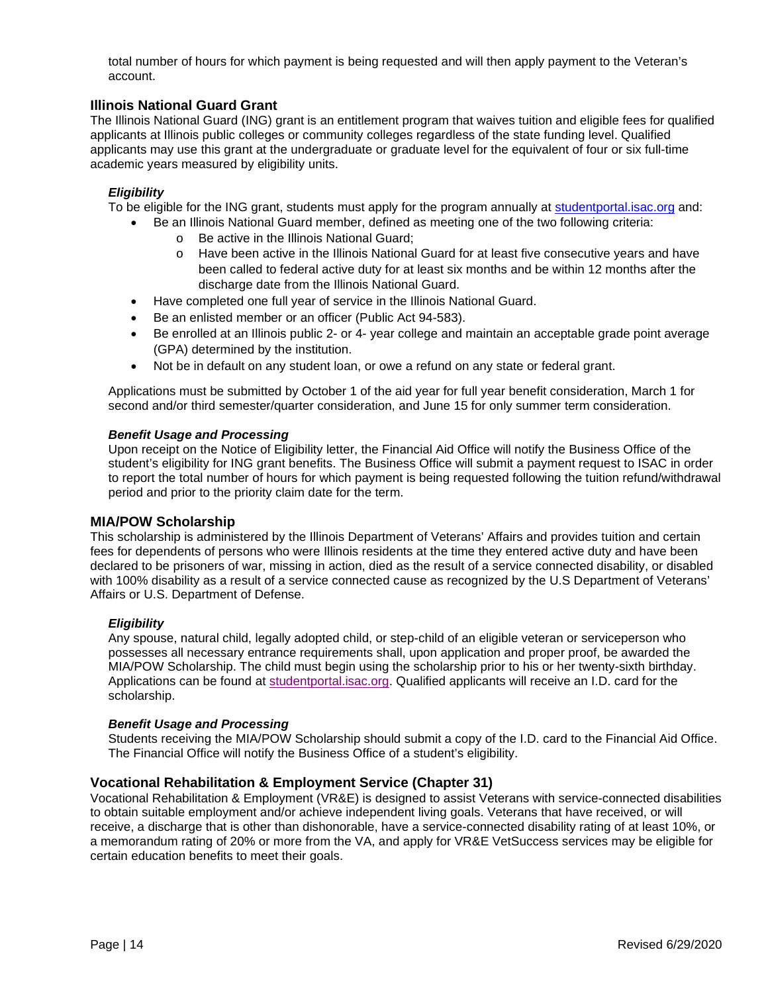total number of hours for which payment is being requested and will then apply payment to the Veteran's account.

#### <span id="page-14-0"></span>**Illinois National Guard Grant**

The Illinois National Guard (ING) grant is an entitlement program that waives tuition and eligible fees for qualified applicants at Illinois public colleges or community colleges regardless of the state funding level. Qualified applicants may use this grant at the undergraduate or graduate level for the equivalent of four or six full-time academic years measured by eligibility units.

#### <span id="page-14-1"></span>*Eligibility*

- To be eligible for the ING grant, students must apply for the program annually at [studentportal.isac.org](https://studentportal.isac.org/web/guest/student/) and:
	- Be an Illinois National Guard member, defined as meeting one of the two following criteria:
		- o Be active in the Illinois National Guard;
		- o Have been active in the Illinois National Guard for at least five consecutive years and have been called to federal active duty for at least six months and be within 12 months after the discharge date from the Illinois National Guard.
	- Have completed one full year of service in the Illinois National Guard.
	- Be an enlisted member or an officer (Public Act 94-583).
	- Be enrolled at an Illinois public 2- or 4- year college and maintain an acceptable grade point average (GPA) determined by the institution.
	- Not be in default on any student loan, or owe a refund on any state or federal grant.

Applications must be submitted by October 1 of the aid year for full year benefit consideration, March 1 for second and/or third semester/quarter consideration, and June 15 for only summer term consideration.

#### <span id="page-14-2"></span>*Benefit Usage and Processing*

Upon receipt on the Notice of Eligibility letter, the Financial Aid Office will notify the Business Office of the student's eligibility for ING grant benefits. The Business Office will submit a payment request to ISAC in order to report the total number of hours for which payment is being requested following the tuition refund/withdrawal period and prior to the priority claim date for the term.

#### <span id="page-14-3"></span>**MIA/POW Scholarship**

This scholarship is administered by the Illinois Department of Veterans' Affairs and provides tuition and certain fees for dependents of persons who were Illinois residents at the time they entered active duty and have been declared to be prisoners of war, missing in action, died as the result of a service connected disability, or disabled with 100% disability as a result of a service connected cause as recognized by the U.S Department of Veterans' Affairs or U.S. Department of Defense.

#### <span id="page-14-4"></span>*Eligibility*

Any spouse, natural child, legally adopted child, or step-child of an eligible veteran or serviceperson who possesses all necessary entrance requirements shall, upon application and proper proof, be awarded the MIA/POW Scholarship. The child must begin using the scholarship prior to his or her twenty-sixth birthday. Applications can be found at [studentportal.isac.org.](https://studentportal.isac.org/web/guest/student?p_p_id=Student_WAR_Studentportlet&p_p_lifecycle=1&p_p_state=normal&p_p_mode=view&p_p_col_id=column-1&p_p_col_count=1&_Student_WAR_Studentportlet__facesViewIdRender=%2Fviews%2FisacPrograms.xhtml) Qualified applicants will receive an I.D. card for the scholarship.

#### <span id="page-14-5"></span>*Benefit Usage and Processing*

Students receiving the MIA/POW Scholarship should submit a copy of the I.D. card to the Financial Aid Office. The Financial Office will notify the Business Office of a student's eligibility.

#### <span id="page-14-6"></span>**Vocational Rehabilitation & Employment Service (Chapter 31)**

Vocational Rehabilitation & Employment (VR&E) is designed to assist Veterans with service-connected disabilities to obtain suitable employment and/or achieve independent living goals. Veterans that have received, or will receive, a discharge that is other than dishonorable, have a service-connected disability rating of at least 10%, or a memorandum rating of 20% or more from the VA, and apply for VR&E VetSuccess services may be eligible for certain education benefits to meet their goals.